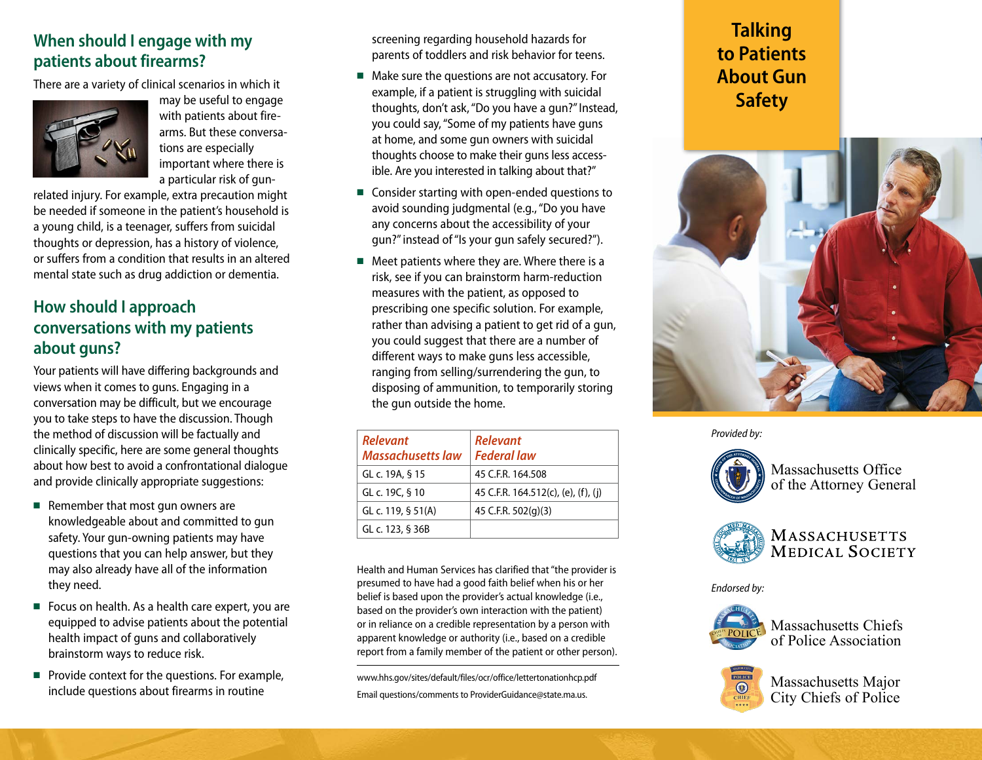## **When should I engage with my patients about firearms?**

There are a variety of clinical scenarios in which it



may be useful to engage with patients about firearms. But these conversations are especially important where there is a particular risk of gun-

related injury. For example, extra precaution might be needed if someone in the patient's household is a young child, is a teenager, suffers from suicidal thoughts or depression, has a history of violence, or suffers from a condition that results in an altered mental state such as drug addiction or dementia.

### **How should I approach conversations with my patients about guns?**

Your patients will have differing backgrounds and views when it comes to guns. Engaging in a conversation may be difficult, but we encourage you to take steps to have the discussion. Though the method of discussion will be factually and clinically specific, here are some general thoughts about how best to avoid a confrontational dialogue and provide clinically appropriate suggestions:

- Remember that most gun owners are knowledgeable about and committed to gun safety. Your gun-owning patients may have questions that you can help answer, but they may also already have all of the information they need.
- Focus on health. As a health care expert, you are equipped to advise patients about the potential health impact of guns and collaboratively brainstorm ways to reduce risk.
- Provide context for the questions. For example, include questions about firearms in routine

screening regarding household hazards for parents of toddlers and risk behavior for teens.

- Make sure the questions are not accusatory. For example, if a patient is struggling with suicidal thoughts, don't ask, "Do you have a gun?" Instead, you could say, "Some of my patients have guns at home, and some gun owners with suicidal thoughts choose to make their guns less accessible. Are you interested in talking about that?"
- Consider starting with open-ended questions to avoid sounding judgmental (e.g., "Do you have any concerns about the accessibility of your gun?" instead of "Is your gun safely secured?").
- Meet patients where they are. Where there is a risk, see if you can brainstorm harm-reduction measures with the patient, as opposed to prescribing one specific solution. For example, rather than advising a patient to get rid of a gun, you could suggest that there are a number of different ways to make guns less accessible, ranging from selling/surrendering the gun, to disposing of ammunition, to temporarily storing the gun outside the home.

| <b>Relevant</b><br><b>Massachusetts law</b> | <b>Relevant</b><br><b>Federal law</b> |
|---------------------------------------------|---------------------------------------|
| GL c. 19A, § 15                             | 45 C.F.R. 164.508                     |
| GL c. 19C, § 10                             | 45 C.F.R. 164.512(c), (e), (f), (j)   |
| GL c. 119, § 51(A)                          | 45 C.F.R. 502(g)(3)                   |
| GL c. 123, § 36B                            |                                       |

Health and Human Services has clarified that "the provider is presumed to have had a good faith belief when his or her belief is based upon the provider's actual knowledge (i.e., based on the provider's own interaction with the patient) or in reliance on a credible representation by a person with apparent knowledge or authority (i.e., based on a credible report from a family member of the patient or other person).

www.hhs.gov/sites/default/files/ocr/office/lettertonationhcp.pdf Email questions/comments to ProviderGuidance@state.ma.us.

# **Talking to Patients About Gun Safety**



*Provided by:*



Massachusetts Office of the Attorney General



**MASSACHUSETTS MEDICAL SOCIETY** 

*Endorsed by:*



Massachusetts Chiefs of Police Association



Massachusetts Major City Chiefs of Police